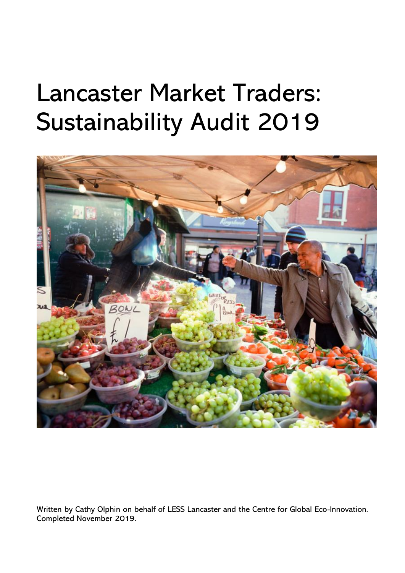# Lancaster Market Traders: Sustainability Audit 2019



Written by Cathy Olphin on behalf of LESS Lancaster and the Centre for Global Eco-Innovation. Completed November 2019.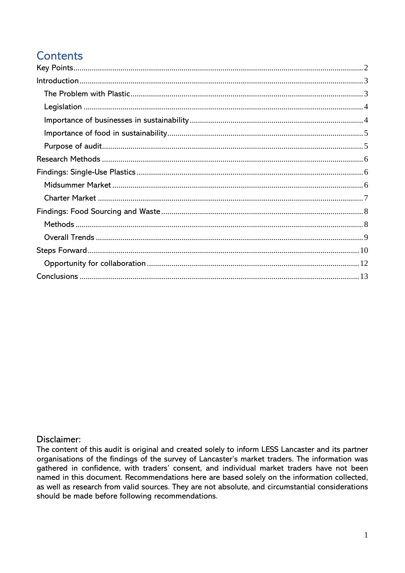# **Contents**

### Disclaimer:

The content of this audit is original and created solely to inform LESS Lancaster and its partner organisations of the findings of the survey of Lancaster's market traders. The information was gathered in confidence, with traders' consent, and individual market traders have not been named in this document. Recommendations here are based solely on the information collected, as well as research from valid sources. They are not absolute, and circumstantial considerations should be made before following recommendations.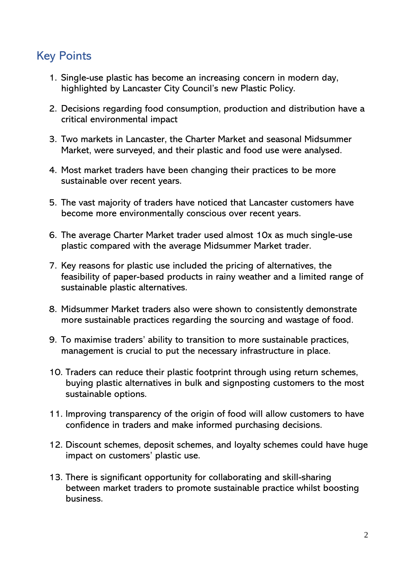# <span id="page-2-0"></span>Key Points

- 1. Single-use plastic has become an increasing concern in modern day, highlighted by Lancaster City Council's new Plastic Policy.
- 2. Decisions regarding food consumption, production and distribution have a critical environmental impact
- 3. Two markets in Lancaster, the Charter Market and seasonal Midsummer Market, were surveyed, and their plastic and food use were analysed.
- 4. Most market traders have been changing their practices to be more sustainable over recent years.
- 5. The vast majority of traders have noticed that Lancaster customers have become more environmentally conscious over recent years.
- 6. The average Charter Market trader used almost 10x as much single-use plastic compared with the average Midsummer Market trader.
- 7. Key reasons for plastic use included the pricing of alternatives, the feasibility of paper-based products in rainy weather and a limited range of sustainable plastic alternatives.
- 8. Midsummer Market traders also were shown to consistently demonstrate more sustainable practices regarding the sourcing and wastage of food.
- 9. To maximise traders' ability to transition to more sustainable practices, management is crucial to put the necessary infrastructure in place.
- 10. Traders can reduce their plastic footprint through using return schemes, buying plastic alternatives in bulk and signposting customers to the most sustainable options.
- 11. Improving transparency of the origin of food will allow customers to have confidence in traders and make informed purchasing decisions.
- 12. Discount schemes, deposit schemes, and loyalty schemes could have huge impact on customers' plastic use.
- 13. There is significant opportunity for collaborating and skill-sharing between market traders to promote sustainable practice whilst boosting business.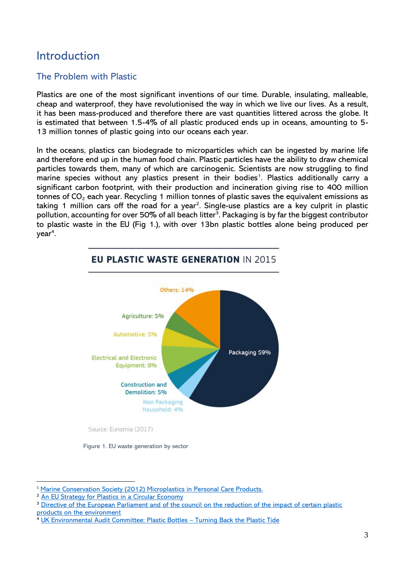## <span id="page-3-0"></span>Introduction

### <span id="page-3-1"></span>The Problem with Plastic

Plastics are one of the most significant inventions of our time. Durable, insulating, malleable, cheap and waterproof, they have revolutionised the way in which we live our lives. As a result, it has been mass-produced and therefore there are vast quantities littered across the globe. It is estimated that between 1.5-4% of all plastic produced ends up in oceans, amounting to 5- 13 million tonnes of plastic going into our oceans each year.

In the oceans, plastics can biodegrade to microparticles which can be ingested by marine life and therefore end up in the human food chain. Plastic particles have the ability to draw chemical particles towards them, many of which are carcinogenic. Scientists are now struggling to find marine species without any plastics present in their bodies<sup>1</sup>. Plastics additionally carry a significant carbon footprint, with their production and incineration giving rise to 400 million tonnes of  $CO<sub>2</sub>$  each year. Recycling 1 million tonnes of plastic saves the equivalent emissions as taking 1 million cars off the road for a year<sup>2</sup>. Single-use plastics are a key culprit in plastic pollution, accounting for over 50% of all beach litter<sup>3</sup>. Packaging is by far the biggest contributor to plastic waste in the EU (Fig 1.), with over 13bn plastic bottles alone being produced per year<sup>4</sup>.

<span id="page-3-2"></span>

Figure 1. EU waste generation by sector

<sup>&</sup>lt;sup>1</sup> Marine Conservation Society [\(2012\) Microplastics in Personal Care Products.](http://www.mcsuk.org/downloads/pollution/positionpaper-microplastics-august2012.pdf)

<sup>&</sup>lt;sup>2</sup> [An EU Strategy for Plastics in a Circular Economy](https://ec.europa.eu/environment/circular-economy/pdf/plastics-strategy.pdf)

<sup>&</sup>lt;sup>3</sup> Directive of the European Parliament and of the council on the reduction of the impact of certain plastic [products on the environment](http://ec.europa.eu/environment/circular-economy/pdf/single-use_plastics_proposal.pdf)

<sup>4</sup> [UK Environmental Audit Committee: Plastic Bottles](https://publications.parliament.uk/pa/cm201719/cmselect/cmenvaud/339/33905.htm) – Turning Back the Plastic Tide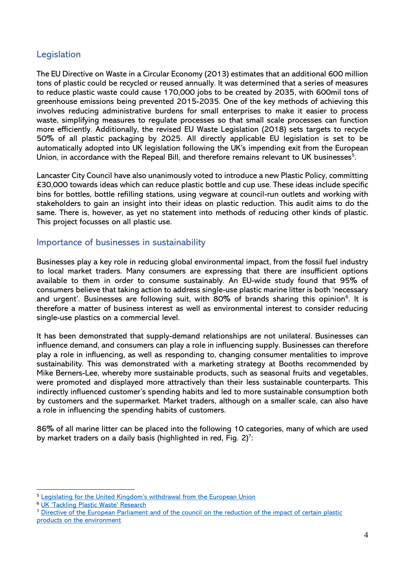### Legislation

The EU Directive on Waste in a Circular Economy (2013) estimates that an additional 600 million tons of plastic could be recycled or reused annually. It was determined that a series of measures to reduce plastic waste could cause 170,000 jobs to be created by 2035, with 600mil tons of greenhouse emissions being prevented 2015-2035. One of the key methods of achieving this involves reducing administrative burdens for small enterprises to make it easier to process waste, simplifying measures to regulate processes so that small scale processes can function more efficiently. Additionally, the revised EU Waste Legislation (2018) sets targets to recycle 50% of all plastic packaging by 2025. All directly applicable EU legislation is set to be automatically adopted into UK legislation following the UK's impending exit from the European Union, in accordance with the Repeal Bill, and therefore remains relevant to UK businesses<sup>5</sup>.

Lancaster City Council have also unanimously voted to introduce a new Plastic Policy, committing £30,000 towards ideas which can reduce plastic bottle and cup use. These ideas include specific bins for bottles, bottle refilling stations, using vegware at council-run outlets and working with stakeholders to gain an insight into their ideas on plastic reduction. This audit aims to do the same. There is, however, as yet no statement into methods of reducing other kinds of plastic. This project focusses on all plastic use.

### <span id="page-4-0"></span>Importance of businesses in sustainability

Businesses play a key role in reducing global environmental impact, from the fossil fuel industry to local market traders. Many consumers are expressing that there are insufficient options available to them in order to consume sustainably. An EU-wide study found that 95% of consumers believe that taking action to address single-use plastic marine litter is both 'necessary and urgent'. Businesses are following suit, with 80% of brands sharing this opinion<sup>6</sup>. It is therefore a matter of business interest as well as environmental interest to consider reducing single-use plastics on a commercial level.

It has been demonstrated that supply-demand relationships are not unilateral. Businesses can influence demand, and consumers can play a role in influencing supply. Businesses can therefore play a role in influencing, as well as responding to, changing consumer mentalities to improve sustainability. This was demonstrated with a marketing strategy at Booths recommended by Mike Berners-Lee, whereby more sustainable products, such as seasonal fruits and vegetables, were promoted and displayed more attractively than their less sustainable counterparts. This indirectly influenced customer's spending habits and led to more sustainable consumption both by customers and the supermarket. Market traders, although on a smaller scale, can also have a role in influencing the spending habits of customers.

86% of all marine litter can be placed into the following 10 categories, many of which are used by market traders on a daily basis (highlighted in red, Fig. 2)<sup>7</sup>:

<sup>7</sup> Directive of the European Parliament and of the council on the reduction of the impact of certain plastic [products on the environment](https://ec.europa.eu/environment/circular-economy/pdf/single-use_plastics_proposal.pdf)

<sup>&</sup>lt;sup>5</sup> [Legislating for the United Kingdom's withdrawal from the European Union](https://assets.publishing.service.gov.uk/government/uploads/system/uploads/attachment_data/file/604516/Great_repeal_bill_white_paper_accessible.pdf)

<sup>6</sup> [UK 'Tackling Plastic Waste' Research](https://assets.publishing.service.gov.uk/government/uploads/system/uploads/attachment_data/file/734837/Plastics_call_for_evidence_summary_of_responses_web.pdf)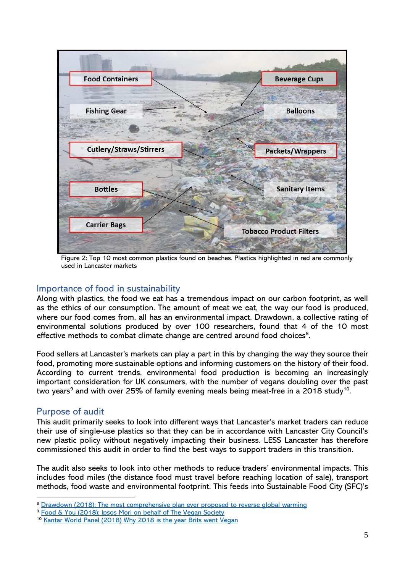

Figure 2: Top 10 most common plastics found on beaches. Plastics highlighted in red are commonly used in Lancaster markets

### <span id="page-5-0"></span>Importance of food in sustainability

Along with plastics, the food we eat has a tremendous impact on our carbon footprint, as well as the ethics of our consumption. The amount of meat we eat, the way our food is produced, where our food comes from, all has an environmental impact. Drawdown, a collective rating of environmental solutions produced by over 100 researchers, found that 4 of the 10 most effective methods to combat climate change are centred around food choices<sup>8</sup>.

Food sellers at Lancaster's markets can play a part in this by changing the way they source their food, promoting more sustainable options and informing customers on the history of their food. According to current trends, environmental food production is becoming an increasingly important consideration for UK consumers, with the number of vegans doubling over the past two years $^{\circ}$  and with over 25% of family evening meals being meat-free in a 2018 study $^{\text{10}}$ .

### <span id="page-5-1"></span>Purpose of audit

This audit primarily seeks to look into different ways that Lancaster's market traders can reduce their use of single-use plastics so that they can be in accordance with Lancaster City Council's new plastic policy without negatively impacting their business. LESS Lancaster has therefore commissioned this audit in order to find the best ways to support traders in this transition.

The audit also seeks to look into other methods to reduce traders' environmental impacts. This includes food miles (the distance food must travel before reaching location of sale), transport methods, food waste and environmental footprint. This feeds into Sustainable Food City (SFC)'s

<sup>&</sup>lt;sup>8</sup> [Drawdown \(2018\): The most comprehensive plan ever proposed to reverse global warming](https://www.drawdown.org/solutions-summary-by-rank)

<sup>&</sup>lt;sup>9</sup> [Food & You \(2018\): Ipsos Mori on behalf of The Vegan Society](https://www.vegansociety.com/my-account/the-vegan/issue-3-2018/survey)

<sup>&</sup>lt;sup>10</sup> [Kantar World Panel \(2018\) Why 2018 is the year Brits went Vegan](https://www.kantarworldpanel.com/en/PR/Why-2018-is-the-year-Brits-went-vegan)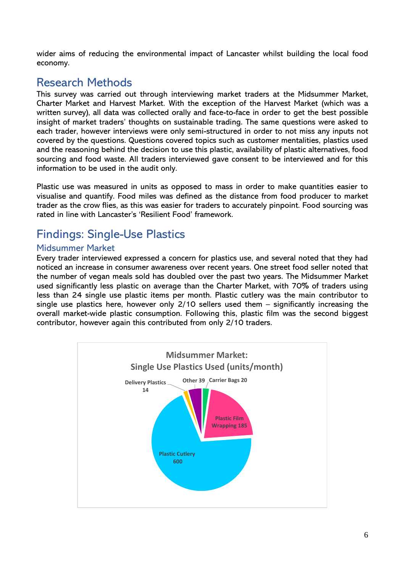wider aims of reducing the environmental impact of Lancaster whilst building the local food economy.

# <span id="page-6-0"></span>Research Methods

This survey was carried out through interviewing market traders at the Midsummer Market, Charter Market and Harvest Market. With the exception of the Harvest Market (which was a written survey), all data was collected orally and face-to-face in order to get the best possible insight of market traders' thoughts on sustainable trading. The same questions were asked to each trader, however interviews were only semi-structured in order to not miss any inputs not covered by the questions. Questions covered topics such as customer mentalities, plastics used and the reasoning behind the decision to use this plastic, availability of plastic alternatives, food sourcing and food waste. All traders interviewed gave consent to be interviewed and for this information to be used in the audit only.

Plastic use was measured in units as opposed to mass in order to make quantities easier to visualise and quantify. Food miles was defined as the distance from food producer to market trader as the crow flies, as this was easier for traders to accurately pinpoint. Food sourcing was rated in line with Lancaster's 'Resilient Food' framework.

# <span id="page-6-1"></span>Findings: Single-Use Plastics

### <span id="page-6-2"></span>Midsummer Market

Every trader interviewed expressed a concern for plastics use, and several noted that they had noticed an increase in consumer awareness over recent years. One street food seller noted that the number of vegan meals sold has doubled over the past two years. The Midsummer Market used significantly less plastic on average than the Charter Market, with 70% of traders using less than 24 single use plastic items per month. Plastic cutlery was the main contributor to single use plastics here, however only 2/10 sellers used them – significantly increasing the overall market-wide plastic consumption. Following this, plastic film was the second biggest contributor, however again this contributed from only 2/10 traders.

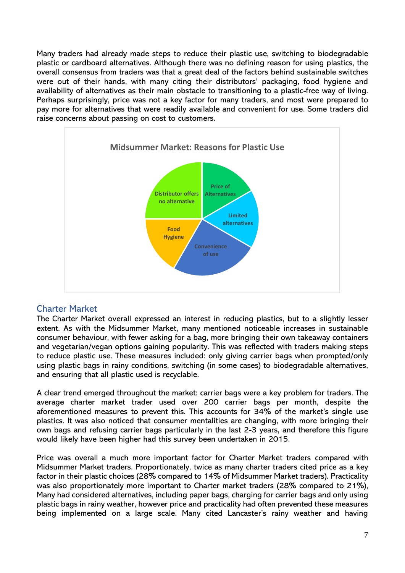Many traders had already made steps to reduce their plastic use, switching to biodegradable plastic or cardboard alternatives. Although there was no defining reason for using plastics, the overall consensus from traders was that a great deal of the factors behind sustainable switches were out of their hands, with many citing their distributors' packaging, food hygiene and availability of alternatives as their main obstacle to transitioning to a plastic-free way of living. Perhaps surprisingly, price was not a key factor for many traders, and most were prepared to pay more for alternatives that were readily available and convenient for use. Some traders did raise concerns about passing on cost to customers.



### <span id="page-7-0"></span>Charter Market

The Charter Market overall expressed an interest in reducing plastics, but to a slightly lesser extent. As with the Midsummer Market, many mentioned noticeable increases in sustainable consumer behaviour, with fewer asking for a bag, more bringing their own takeaway containers and vegetarian/vegan options gaining popularity. This was reflected with traders making steps to reduce plastic use. These measures included: only giving carrier bags when prompted/only using plastic bags in rainy conditions, switching (in some cases) to biodegradable alternatives, and ensuring that all plastic used is recyclable.

A clear trend emerged throughout the market: carrier bags were a key problem for traders. The average charter market trader used over 200 carrier bags per month, despite the aforementioned measures to prevent this. This accounts for 34% of the market's single use plastics. It was also noticed that consumer mentalities are changing, with more bringing their own bags and refusing carrier bags particularly in the last 2-3 years, and therefore this figure would likely have been higher had this survey been undertaken in 2015.

Price was overall a much more important factor for Charter Market traders compared with Midsummer Market traders. Proportionately, twice as many charter traders cited price as a key factor in their plastic choices (28% compared to 14% of Midsummer Market traders). Practicality was also proportionately more important to Charter market traders (28% compared to 21%), Many had considered alternatives, including paper bags, charging for carrier bags and only using plastic bags in rainy weather, however price and practicality had often prevented these measures being implemented on a large scale. Many cited Lancaster's rainy weather and having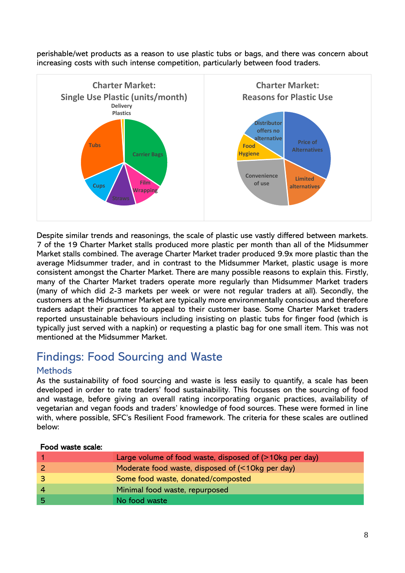perishable/wet products as a reason to use plastic tubs or bags, and there was concern about increasing costs with such intense competition, particularly between food traders.



Despite similar trends and reasonings, the scale of plastic use vastly differed between markets. 7 of the 19 Charter Market stalls produced more plastic per month than all of the Midsummer Market stalls combined. The average Charter Market trader produced 9.9x more plastic than the average Midsummer trader, and in contrast to the Midsummer Market, plastic usage is more consistent amongst the Charter Market. There are many possible reasons to explain this. Firstly, many of the Charter Market traders operate more regularly than Midsummer Market traders (many of which did 2-3 markets per week or were not regular traders at all). Secondly, the customers at the Midsummer Market are typically more environmentally conscious and therefore traders adapt their practices to appeal to their customer base. Some Charter Market traders reported unsustainable behaviours including insisting on plastic tubs for finger food (which is typically just served with a napkin) or requesting a plastic bag for one small item. This was not mentioned at the Midsummer Market.

# <span id="page-8-0"></span>Findings: Food Sourcing and Waste

### <span id="page-8-1"></span>**Methods**

As the sustainability of food sourcing and waste is less easily to quantify, a scale has been developed in order to rate traders' food sustainability. This focusses on the sourcing of food and wastage, before giving an overall rating incorporating organic practices, availability of vegetarian and vegan foods and traders' knowledge of food sources. These were formed in line with, where possible, SFC's Resilient Food framework. The criteria for these scales are outlined below:

#### Food waste scale:

|                         | Large volume of food waste, disposed of $($ > 10kg per day) |
|-------------------------|-------------------------------------------------------------|
|                         | Moderate food waste, disposed of (<10kg per day)            |
| $\overline{\mathbf{3}}$ | Some food waste, donated/composted                          |
| -4                      | Minimal food waste, repurposed                              |
| -5                      | No food waste                                               |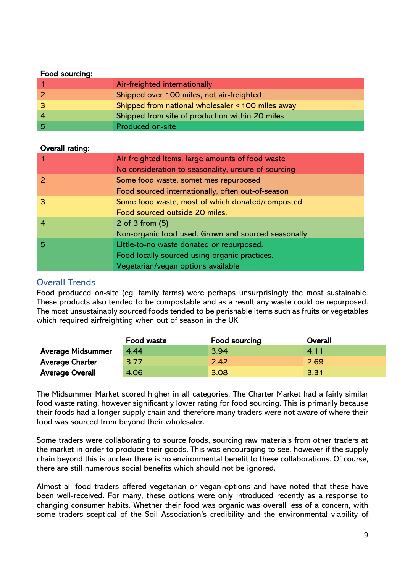#### Food sourcing:

| Food sourcing: |                                                  |
|----------------|--------------------------------------------------|
|                | Air-freighted internationally                    |
| $\vert$ 2      | Shipped over 100 miles, not air-freighted        |
| $\overline{3}$ | Shipped from national wholesaler <100 miles away |
| $\overline{4}$ | Shipped from site of production within 20 miles  |
| .5             | <b>Produced on-site</b>                          |

#### Overall rating:

| <b>Overall rating:</b> |                                                     |
|------------------------|-----------------------------------------------------|
|                        | Air freighted items, large amounts of food waste    |
|                        | No consideration to seasonality, unsure of sourcing |
| $\overline{z}$         | Some food waste, sometimes repurposed               |
|                        | Food sourced internationally, often out-of-season   |
| 3                      | Some food waste, most of which donated/composted    |
|                        | Food sourced outside 20 miles,                      |
| $\overline{4}$         | 2 of 3 from $(5)$                                   |
|                        | Non-organic food used. Grown and sourced seasonally |
| 5                      | Little-to-no waste donated or repurposed.           |
|                        | Food locally sourced using organic practices.       |
|                        | Vegetarian/vegan options available                  |

### <span id="page-9-0"></span>Overall Trends

Food produced on-site (eg. family farms) were perhaps unsurprisingly the most sustainable. These products also tended to be compostable and as a result any waste could be repurposed. The most unsustainably sourced foods tended to be perishable items such as fruits or vegetables which required airfreighting when out of season in the UK.

|                          | Food waste | Food sourcing | Overall |
|--------------------------|------------|---------------|---------|
| <b>Average Midsummer</b> | 4.44       | 3.94          | 4.11    |
| <b>Average Charter</b>   | 3.77       | 2.42          | 2.69    |
| <b>Average Overall</b>   | 4.06       | 3.08          | 3.31    |

The Midsummer Market scored higher in all categories. The Charter Market had a fairly similar food waste rating, however significantly lower rating for food sourcing. This is primarily because their foods had a longer supply chain and therefore many traders were not aware of where their food was sourced from beyond their wholesaler.

Some traders were collaborating to source foods, sourcing raw materials from other traders at the market in order to produce their goods. This was encouraging to see, however if the supply chain beyond this is unclear there is no environmental benefit to these collaborations. Of course, there are still numerous social benefits which should not be ignored.

Almost all food traders offered vegetarian or vegan options and have noted that these have been well-received. For many, these options were only introduced recently as a response to changing consumer habits. Whether their food was organic was overall less of a concern, with some traders sceptical of the Soil Association's credibility and the environmental viability of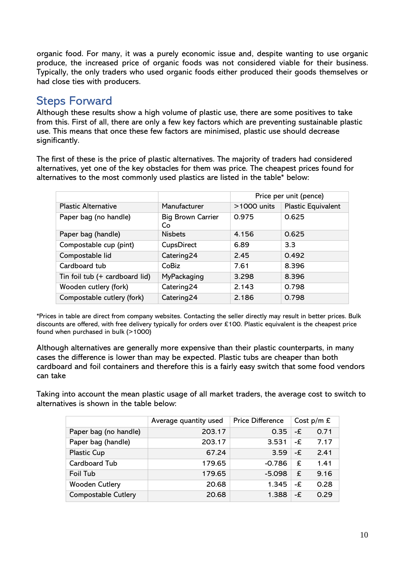organic food. For many, it was a purely economic issue and, despite wanting to use organic produce, the increased price of organic foods was not considered viable for their business. Typically, the only traders who used organic foods either produced their goods themselves or had close ties with producers.

# <span id="page-10-0"></span>Steps Forward

Although these results show a high volume of plastic use, there are some positives to take from this. First of all, there are only a few key factors which are preventing sustainable plastic use. This means that once these few factors are minimised, plastic use should decrease significantly.

The first of these is the price of plastic alternatives. The majority of traders had considered alternatives, yet one of the key obstacles for them was price. The cheapest prices found for alternatives to the most commonly used plastics are listed in the table\* below:

|                                |                                | Price per unit (pence) |                    |
|--------------------------------|--------------------------------|------------------------|--------------------|
| <b>Plastic Alternative</b>     | Manufacturer                   | >1000 units            | Plastic Equivalent |
| Paper bag (no handle)          | <b>Big Brown Carrier</b><br>Co | 0.975                  | 0.625              |
| Paper bag (handle)             | <b>Nisbets</b>                 | 4.156                  | 0.625              |
| Compostable cup (pint)         | CupsDirect                     | 6.89                   | 3.3                |
| Compostable lid                | Catering24                     | 2.45                   | 0.492              |
| Cardboard tub                  | CoBiz                          | 7.61                   | 8.396              |
| Tin foil tub (+ cardboard lid) | MyPackaging                    | 3.298                  | 8.396              |
| Wooden cutlery (fork)          | Catering24                     | 2.143                  | 0.798              |
| Compostable cutlery (fork)     | Catering24                     | 2.186                  | 0.798              |

\*Prices in table are direct from company websites. Contacting the seller directly may result in better prices. Bulk discounts are offered, with free delivery typically for orders over £100. Plastic equivalent is the cheapest price found when purchased in bulk (>1000)

Although alternatives are generally more expensive than their plastic counterparts, in many cases the difference is lower than may be expected. Plastic tubs are cheaper than both cardboard and foil containers and therefore this is a fairly easy switch that some food vendors can take

Taking into account the mean plastic usage of all market traders, the average cost to switch to alternatives is shown in the table below:

|                            | Average quantity used | <b>Price Difference</b> | Cost $p/m \nvert \nvert$ |      |
|----------------------------|-----------------------|-------------------------|--------------------------|------|
| Paper bag (no handle)      | 203.17                | 0.35                    | -£                       | 0.71 |
| Paper bag (handle)         | 203.17                | 3.531                   | -£                       | 7.17 |
| <b>Plastic Cup</b>         | 67.24                 | 3.59                    | -£                       | 2.41 |
| Cardboard Tub              | 179.65                | $-0.786$                | £                        | 1.41 |
| <b>Foil Tub</b>            | 179.65                | $-5.098$                | £                        | 9.16 |
| <b>Wooden Cutlery</b>      | 20.68                 | 1.345                   | -£                       | 0.28 |
| <b>Compostable Cutlery</b> | 20.68                 | 1.388                   | -£                       | 0.29 |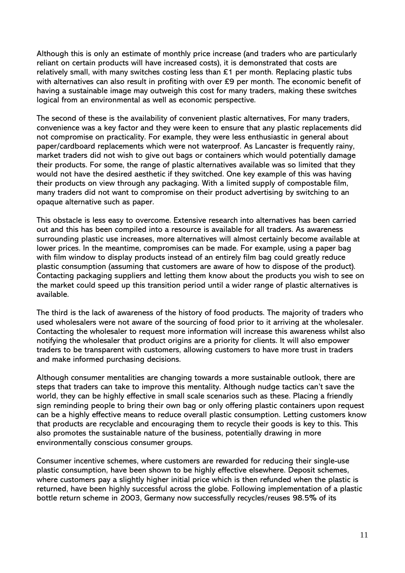Although this is only an estimate of monthly price increase (and traders who are particularly reliant on certain products will have increased costs), it is demonstrated that costs are relatively small, with many switches costing less than  $£1$  per month. Replacing plastic tubs with alternatives can also result in profiting with over £9 per month. The economic benefit of having a sustainable image may outweigh this cost for many traders, making these switches logical from an environmental as well as economic perspective.

The second of these is the availability of convenient plastic alternatives. For many traders, convenience was a key factor and they were keen to ensure that any plastic replacements did not compromise on practicality. For example, they were less enthusiastic in general about paper/cardboard replacements which were not waterproof. As Lancaster is frequently rainy, market traders did not wish to give out bags or containers which would potentially damage their products. For some, the range of plastic alternatives available was so limited that they would not have the desired aesthetic if they switched. One key example of this was having their products on view through any packaging. With a limited supply of compostable film, many traders did not want to compromise on their product advertising by switching to an opaque alternative such as paper.

This obstacle is less easy to overcome. Extensive research into alternatives has been carried out and this has been compiled into a resource is available for all traders. As awareness surrounding plastic use increases, more alternatives will almost certainly become available at lower prices. In the meantime, compromises can be made. For example, using a paper bag with film window to display products instead of an entirely film bag could greatly reduce plastic consumption (assuming that customers are aware of how to dispose of the product). Contacting packaging suppliers and letting them know about the products you wish to see on the market could speed up this transition period until a wider range of plastic alternatives is available.

The third is the lack of awareness of the history of food products. The majority of traders who used wholesalers were not aware of the sourcing of food prior to it arriving at the wholesaler. Contacting the wholesaler to request more information will increase this awareness whilst also notifying the wholesaler that product origins are a priority for clients. It will also empower traders to be transparent with customers, allowing customers to have more trust in traders and make informed purchasing decisions.

Although consumer mentalities are changing towards a more sustainable outlook, there are steps that traders can take to improve this mentality. Although nudge tactics can't save the world, they can be highly effective in small scale scenarios such as these. Placing a friendly sign reminding people to bring their own bag or only offering plastic containers upon request can be a highly effective means to reduce overall plastic consumption. Letting customers know that products are recyclable and encouraging them to recycle their goods is key to this. This also promotes the sustainable nature of the business, potentially drawing in more environmentally conscious consumer groups.

Consumer incentive schemes, where customers are rewarded for reducing their single-use plastic consumption, have been shown to be highly effective elsewhere. Deposit schemes, where customers pay a slightly higher initial price which is then refunded when the plastic is returned, have been highly successful across the globe. Following implementation of a plastic bottle return scheme in 2003, Germany now successfully recycles/reuses 98.5% of its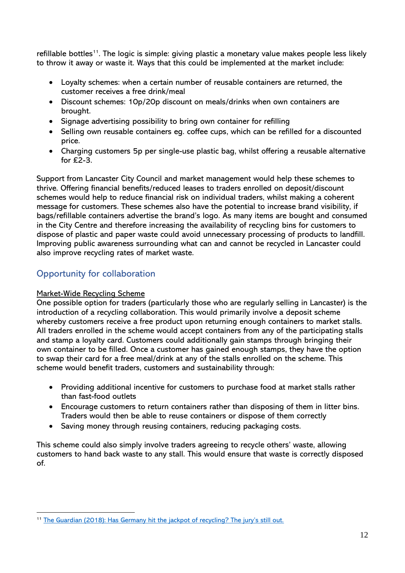refillable bottles<sup>11</sup>. The logic is simple: giving plastic a monetary value makes people less likely to throw it away or waste it. Ways that this could be implemented at the market include:

- Loyalty schemes: when a certain number of reusable containers are returned, the customer receives a free drink/meal
- Discount schemes: 10p/20p discount on meals/drinks when own containers are brought.
- Signage advertising possibility to bring own container for refilling
- Selling own reusable containers eg. coffee cups, which can be refilled for a discounted price.
- Charging customers 5p per single-use plastic bag, whilst offering a reusable alternative for  $£2-3$ .

Support from Lancaster City Council and market management would help these schemes to thrive. Offering financial benefits/reduced leases to traders enrolled on deposit/discount schemes would help to reduce financial risk on individual traders, whilst making a coherent message for customers. These schemes also have the potential to increase brand visibility, if bags/refillable containers advertise the brand's logo. As many items are bought and consumed in the City Centre and therefore increasing the availability of recycling bins for customers to dispose of plastic and paper waste could avoid unnecessary processing of products to landfill. Improving public awareness surrounding what can and cannot be recycled in Lancaster could also improve recycling rates of market waste.

### <span id="page-12-0"></span>Opportunity for collaboration

#### Market-Wide Recycling Scheme

One possible option for traders (particularly those who are regularly selling in Lancaster) is the introduction of a recycling collaboration. This would primarily involve a deposit scheme whereby customers receive a free product upon returning enough containers to market stalls. All traders enrolled in the scheme would accept containers from any of the participating stalls and stamp a loyalty card. Customers could additionally gain stamps through bringing their own container to be filled. Once a customer has gained enough stamps, they have the option to swap their card for a free meal/drink at any of the stalls enrolled on the scheme. This scheme would benefit traders, customers and sustainability through:

- Providing additional incentive for customers to purchase food at market stalls rather than fast-food outlets
- Encourage customers to return containers rather than disposing of them in litter bins. Traders would then be able to reuse containers or dispose of them correctly
- Saving money through reusing containers, reducing packaging costs.

This scheme could also simply involve traders agreeing to recycle others' waste, allowing customers to hand back waste to any stall. This would ensure that waste is correctly disposed of.

<sup>&</sup>lt;sup>11</sup> The Guardian [\(2018\): Has Germany hit the jackpot of](https://www.theguardian.com/world/2018/mar/30/has-germany-hit-the-jackpot-of-recycling-the-jurys-still-out) recycling? The jury's still out.